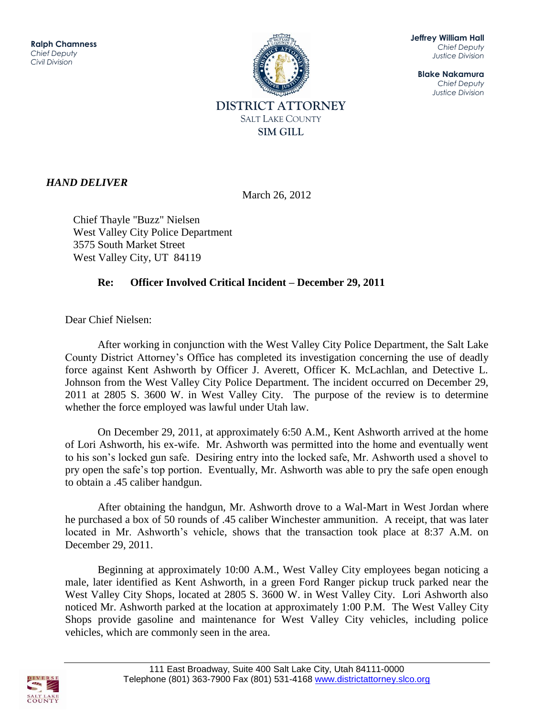

**Jeffrey William Hall** *Chief Deputy Justice Division*

**Blake Nakamura** *Chief Deputy Justice Division*

## *HAND DELIVER*

March 26, 2012

 Chief Thayle "Buzz" Nielsen West Valley City Police Department 3575 South Market Street West Valley City, UT 84119

## **Re: Officer Involved Critical Incident – December 29, 2011**

Dear Chief Nielsen:

After working in conjunction with the West Valley City Police Department, the Salt Lake County District Attorney's Office has completed its investigation concerning the use of deadly force against Kent Ashworth by Officer J. Averett, Officer K. McLachlan, and Detective L. Johnson from the West Valley City Police Department. The incident occurred on December 29, 2011 at 2805 S. 3600 W. in West Valley City. The purpose of the review is to determine whether the force employed was lawful under Utah law.

On December 29, 2011, at approximately 6:50 A.M., Kent Ashworth arrived at the home of Lori Ashworth, his ex-wife. Mr. Ashworth was permitted into the home and eventually went to his son's locked gun safe. Desiring entry into the locked safe, Mr. Ashworth used a shovel to pry open the safe's top portion. Eventually, Mr. Ashworth was able to pry the safe open enough to obtain a .45 caliber handgun.

After obtaining the handgun, Mr. Ashworth drove to a Wal-Mart in West Jordan where he purchased a box of 50 rounds of .45 caliber Winchester ammunition. A receipt, that was later located in Mr. Ashworth's vehicle, shows that the transaction took place at 8:37 A.M. on December 29, 2011.

Beginning at approximately 10:00 A.M., West Valley City employees began noticing a male, later identified as Kent Ashworth, in a green Ford Ranger pickup truck parked near the West Valley City Shops, located at 2805 S. 3600 W. in West Valley City. Lori Ashworth also noticed Mr. Ashworth parked at the location at approximately 1:00 P.M. The West Valley City Shops provide gasoline and maintenance for West Valley City vehicles, including police vehicles, which are commonly seen in the area.

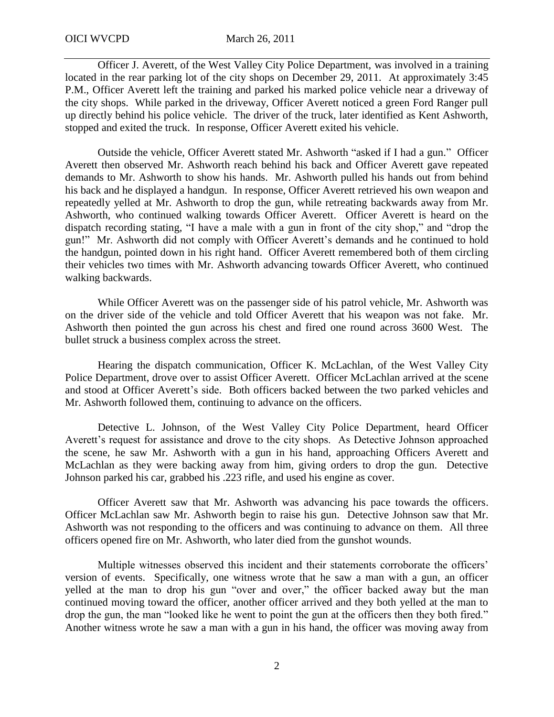Officer J. Averett, of the West Valley City Police Department, was involved in a training located in the rear parking lot of the city shops on December 29, 2011. At approximately 3:45 P.M., Officer Averett left the training and parked his marked police vehicle near a driveway of the city shops. While parked in the driveway, Officer Averett noticed a green Ford Ranger pull up directly behind his police vehicle. The driver of the truck, later identified as Kent Ashworth, stopped and exited the truck. In response, Officer Averett exited his vehicle.

Outside the vehicle, Officer Averett stated Mr. Ashworth "asked if I had a gun." Officer Averett then observed Mr. Ashworth reach behind his back and Officer Averett gave repeated demands to Mr. Ashworth to show his hands. Mr. Ashworth pulled his hands out from behind his back and he displayed a handgun. In response, Officer Averett retrieved his own weapon and repeatedly yelled at Mr. Ashworth to drop the gun, while retreating backwards away from Mr. Ashworth, who continued walking towards Officer Averett. Officer Averett is heard on the dispatch recording stating, "I have a male with a gun in front of the city shop," and "drop the gun!" Mr. Ashworth did not comply with Officer Averett's demands and he continued to hold the handgun, pointed down in his right hand. Officer Averett remembered both of them circling their vehicles two times with Mr. Ashworth advancing towards Officer Averett, who continued walking backwards.

While Officer Averett was on the passenger side of his patrol vehicle, Mr. Ashworth was on the driver side of the vehicle and told Officer Averett that his weapon was not fake. Mr. Ashworth then pointed the gun across his chest and fired one round across 3600 West. The bullet struck a business complex across the street.

Hearing the dispatch communication, Officer K. McLachlan, of the West Valley City Police Department, drove over to assist Officer Averett. Officer McLachlan arrived at the scene and stood at Officer Averett's side. Both officers backed between the two parked vehicles and Mr. Ashworth followed them, continuing to advance on the officers.

Detective L. Johnson, of the West Valley City Police Department, heard Officer Averett's request for assistance and drove to the city shops. As Detective Johnson approached the scene, he saw Mr. Ashworth with a gun in his hand, approaching Officers Averett and McLachlan as they were backing away from him, giving orders to drop the gun. Detective Johnson parked his car, grabbed his .223 rifle, and used his engine as cover.

Officer Averett saw that Mr. Ashworth was advancing his pace towards the officers. Officer McLachlan saw Mr. Ashworth begin to raise his gun. Detective Johnson saw that Mr. Ashworth was not responding to the officers and was continuing to advance on them. All three officers opened fire on Mr. Ashworth, who later died from the gunshot wounds.

Multiple witnesses observed this incident and their statements corroborate the officers' version of events. Specifically, one witness wrote that he saw a man with a gun, an officer yelled at the man to drop his gun "over and over," the officer backed away but the man continued moving toward the officer, another officer arrived and they both yelled at the man to drop the gun, the man "looked like he went to point the gun at the officers then they both fired." Another witness wrote he saw a man with a gun in his hand, the officer was moving away from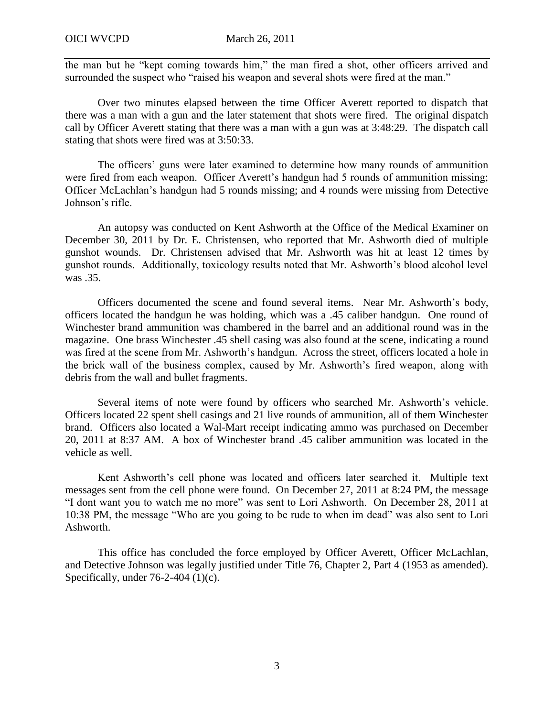the man but he "kept coming towards him," the man fired a shot, other officers arrived and surrounded the suspect who "raised his weapon and several shots were fired at the man."

Over two minutes elapsed between the time Officer Averett reported to dispatch that there was a man with a gun and the later statement that shots were fired. The original dispatch call by Officer Averett stating that there was a man with a gun was at 3:48:29. The dispatch call stating that shots were fired was at 3:50:33.

The officers' guns were later examined to determine how many rounds of ammunition were fired from each weapon. Officer Averett's handgun had 5 rounds of ammunition missing; Officer McLachlan's handgun had 5 rounds missing; and 4 rounds were missing from Detective Johnson's rifle.

An autopsy was conducted on Kent Ashworth at the Office of the Medical Examiner on December 30, 2011 by Dr. E. Christensen, who reported that Mr. Ashworth died of multiple gunshot wounds. Dr. Christensen advised that Mr. Ashworth was hit at least 12 times by gunshot rounds. Additionally, toxicology results noted that Mr. Ashworth's blood alcohol level was .35.

Officers documented the scene and found several items. Near Mr. Ashworth's body, officers located the handgun he was holding, which was a .45 caliber handgun. One round of Winchester brand ammunition was chambered in the barrel and an additional round was in the magazine. One brass Winchester .45 shell casing was also found at the scene, indicating a round was fired at the scene from Mr. Ashworth's handgun. Across the street, officers located a hole in the brick wall of the business complex, caused by Mr. Ashworth's fired weapon, along with debris from the wall and bullet fragments.

Several items of note were found by officers who searched Mr. Ashworth's vehicle. Officers located 22 spent shell casings and 21 live rounds of ammunition, all of them Winchester brand. Officers also located a Wal-Mart receipt indicating ammo was purchased on December 20, 2011 at 8:37 AM. A box of Winchester brand .45 caliber ammunition was located in the vehicle as well.

Kent Ashworth's cell phone was located and officers later searched it. Multiple text messages sent from the cell phone were found. On December 27, 2011 at 8:24 PM, the message "I dont want you to watch me no more" was sent to Lori Ashworth. On December 28, 2011 at 10:38 PM, the message "Who are you going to be rude to when im dead" was also sent to Lori Ashworth.

 This office has concluded the force employed by Officer Averett, Officer McLachlan, and Detective Johnson was legally justified under Title 76, Chapter 2, Part 4 (1953 as amended). Specifically, under  $76-2-404$  (1)(c).